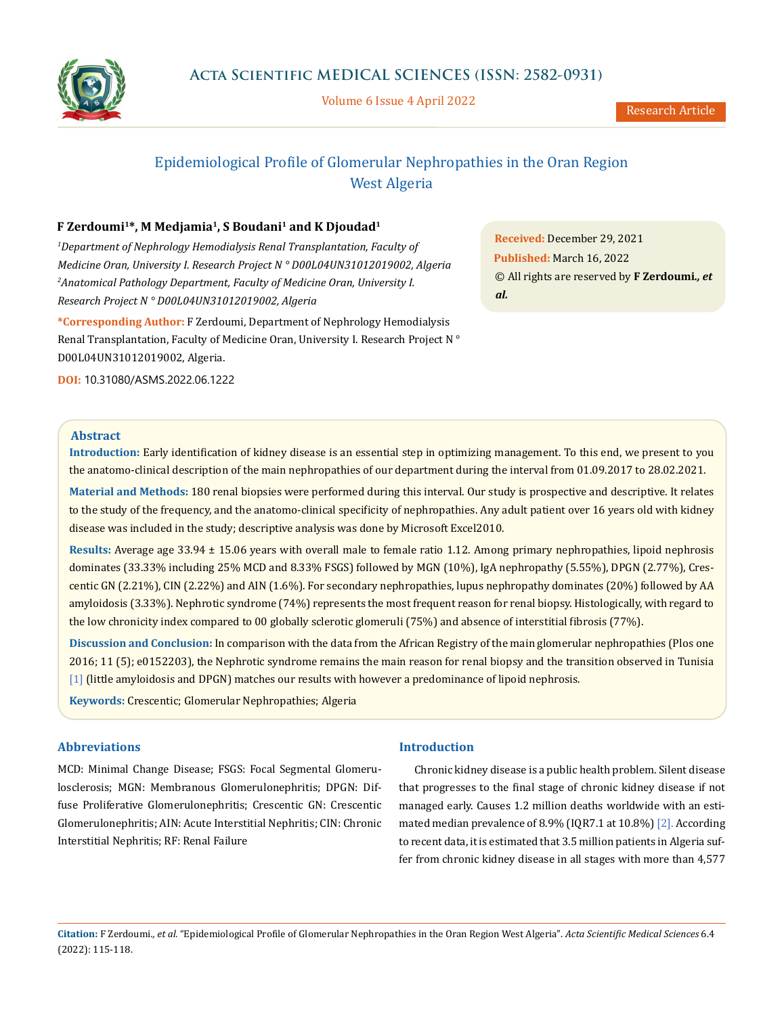

Volume 6 Issue 4 April 2022

# Epidemiological Profile of Glomerular Nephropathies in the Oran Region West Algeria

# **F Zerdoumi1\*, M Medjamia1, S Boudani1 and K Djoudad1**

<sup>1</sup>Department of Nephrology Hemodialysis Renal Transplantation, Faculty of *Medicine Oran, University I. Research Project N ° D00L04UN31012019002, Algeria 2 Anatomical Pathology Department, Faculty of Medicine Oran, University I. Research Project N ° D00L04UN31012019002, Algeria*

**\*Corresponding Author:** F Zerdoumi, Department of Nephrology Hemodialysis Renal Transplantation, Faculty of Medicine Oran, University I. Research Project N° D00L04UN31012019002, Algeria.

**Received:** December 29, 2021 **Published:** March 16, 2022 © All rights are reserved by **F Zerdoumi***., et al.*

**DOI:** [10.31080/ASMS.2022.06.1222](http:// actascientific.com/ASMS/pdf/ASMS-06-1222.pdf)

#### **Abstract**

**Introduction:** Early identification of kidney disease is an essential step in optimizing management. To this end, we present to you the anatomo-clinical description of the main nephropathies of our department during the interval from 01.09.2017 to 28.02.2021.

**Material and Methods:** 180 renal biopsies were performed during this interval. Our study is prospective and descriptive. It relates to the study of the frequency, and the anatomo-clinical specificity of nephropathies. Any adult patient over 16 years old with kidney disease was included in the study; descriptive analysis was done by Microsoft Excel2010.

**Results:** Average age 33.94 ± 15.06 years with overall male to female ratio 1.12. Among primary nephropathies, lipoid nephrosis dominates (33.33% including 25% MCD and 8.33% FSGS) followed by MGN (10%), IgA nephropathy (5.55%), DPGN (2.77%), Crescentic GN (2.21%), CIN (2.22%) and AIN (1.6%). For secondary nephropathies, lupus nephropathy dominates (20%) followed by AA amyloidosis (3.33%). Nephrotic syndrome (74%) represents the most frequent reason for renal biopsy. Histologically, with regard to the low chronicity index compared to 00 globally sclerotic glomeruli (75%) and absence of interstitial fibrosis (77%).

**Discussion and Conclusion:** In comparison with the data from the African Registry of the main glomerular nephropathies (Plos one 2016; 11 (5); e0152203), the Nephrotic syndrome remains the main reason for renal biopsy and the transition observed in Tunisia [1] (little amyloidosis and DPGN) matches our results with however a predominance of lipoid nephrosis.

**Keywords:** Crescentic; Glomerular Nephropathies; Algeria

# **Abbreviations**

MCD: Minimal Change Disease; FSGS: Focal Segmental Glomerulosclerosis; MGN: Membranous Glomerulonephritis; DPGN: Diffuse Proliferative Glomerulonephritis; Crescentic GN: Crescentic Glomerulonephritis; AIN: Acute Interstitial Nephritis; CIN: Chronic Interstitial Nephritis; RF: Renal Failure

## **Introduction**

Chronic kidney disease is a public health problem. Silent disease that progresses to the final stage of chronic kidney disease if not managed early. Causes 1.2 million deaths worldwide with an estimated median prevalence of 8.9% (IQR7.1 at 10.8%) [2]. According to recent data, it is estimated that 3.5 million patients in Algeria suffer from chronic kidney disease in all stages with more than 4,577

**Citation:** F Zerdoumi*., et al.* "Epidemiological Profile of Glomerular Nephropathies in the Oran Region West Algeria". *Acta Scientific Medical Sciences* 6.4 (2022): 115-118.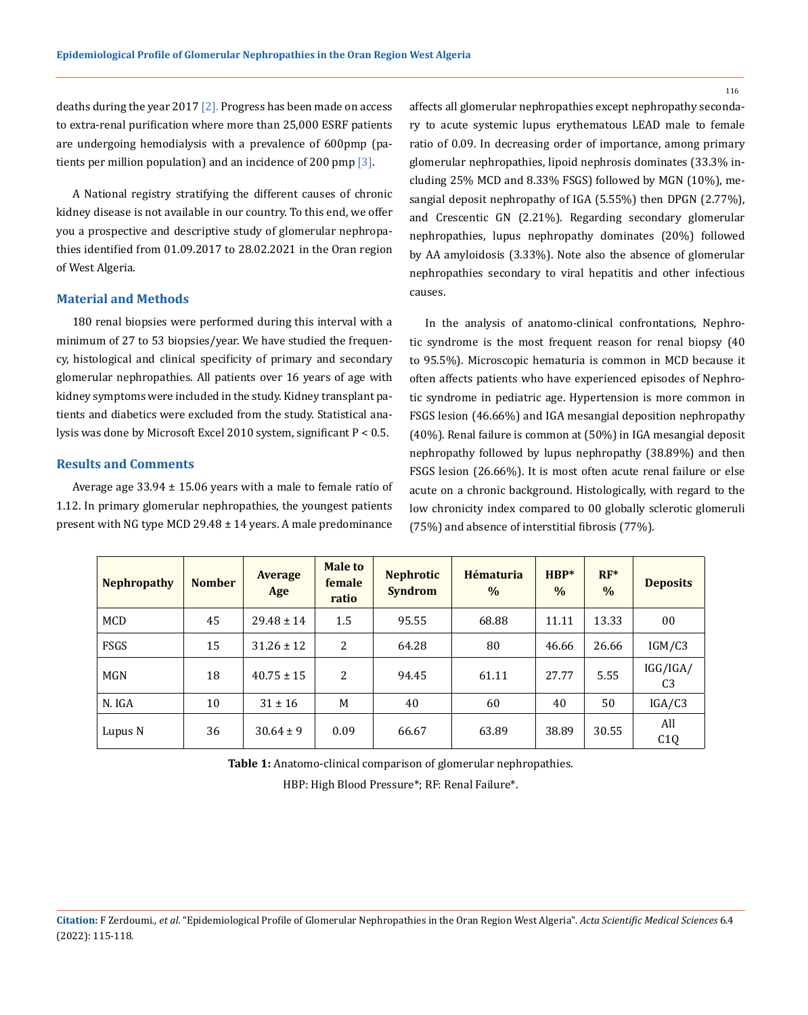deaths during the year 2017  $\lceil 2 \rceil$ . Progress has been made on access to extra-renal purification where more than 25,000 ESRF patients are undergoing hemodialysis with a prevalence of 600pmp (patients per million population) and an incidence of 200 pmp [3].

A National registry stratifying the different causes of chronic kidney disease is not available in our country. To this end, we offer you a prospective and descriptive study of glomerular nephropathies identified from 01.09.2017 to 28.02.2021 in the Oran region of West Algeria.

#### **Material and Methods**

180 renal biopsies were performed during this interval with a minimum of 27 to 53 biopsies/year. We have studied the frequency, histological and clinical specificity of primary and secondary glomerular nephropathies. All patients over 16 years of age with kidney symptoms were included in the study. Kidney transplant patients and diabetics were excluded from the study. Statistical analysis was done by Microsoft Excel 2010 system, significant P < 0.5.

## **Results and Comments**

Average age  $33.94 \pm 15.06$  years with a male to female ratio of 1.12. In primary glomerular nephropathies, the youngest patients present with NG type MCD 29.48 ± 14 years. A male predominance

affects all glomerular nephropathies except nephropathy secondary to acute systemic lupus erythematous LEAD male to female ratio of 0.09. In decreasing order of importance, among primary glomerular nephropathies, lipoid nephrosis dominates (33.3% including 25% MCD and 8.33% FSGS) followed by MGN (10%), mesangial deposit nephropathy of IGA (5.55%) then DPGN (2.77%), and Crescentic GN (2.21%). Regarding secondary glomerular nephropathies, lupus nephropathy dominates (20%) followed by AA amyloidosis (3.33%). Note also the absence of glomerular nephropathies secondary to viral hepatitis and other infectious causes.

In the analysis of anatomo-clinical confrontations, Nephrotic syndrome is the most frequent reason for renal biopsy (40 to 95.5%). Microscopic hematuria is common in MCD because it often affects patients who have experienced episodes of Nephrotic syndrome in pediatric age. Hypertension is more common in FSGS lesion (46.66%) and IGA mesangial deposition nephropathy (40%). Renal failure is common at (50%) in IGA mesangial deposit nephropathy followed by lupus nephropathy (38.89%) and then FSGS lesion (26.66%). It is most often acute renal failure or else acute on a chronic background. Histologically, with regard to the low chronicity index compared to 00 globally sclerotic glomeruli (75%) and absence of interstitial fibrosis (77%).

| <b>Nephropathy</b> | <b>Nomber</b> | <b>Average</b><br>Age | <b>Male to</b><br>female<br>ratio | <b>Nephrotic</b><br><b>Syndrom</b> | Hématuria<br>$\%$ | $HBP*$<br>$\frac{0}{0}$ | $RF^*$<br>$\frac{0}{0}$ | <b>Deposits</b>            |
|--------------------|---------------|-----------------------|-----------------------------------|------------------------------------|-------------------|-------------------------|-------------------------|----------------------------|
| MCD                | 45            | $29.48 \pm 14$        | 1.5                               | 95.55                              | 68.88             | 11.11                   | 13.33                   | 0 <sub>0</sub>             |
| FSGS               | 15            | $31.26 \pm 12$        | 2                                 | 64.28                              | 80                | 46.66                   | 26.66                   | IGM/C3                     |
| MGN                | 18            | $40.75 \pm 15$        | 2                                 | 94.45                              | 61.11             | 27.77                   | 5.55                    | IGG/IGA/<br>C <sub>3</sub> |
| N. IGA             | 10            | $31 \pm 16$           | M                                 | 40                                 | 60                | 40                      | 50                      | IGA/C3                     |
| Lupus N            | 36            | $30.64 \pm 9$         | 0.09                              | 66.67                              | 63.89             | 38.89                   | 30.55                   | All<br>C1Q                 |

**Table 1:** Anatomo-clinical comparison of glomerular nephropathies.

HBP: High Blood Pressure\*; RF: Renal Failure\*.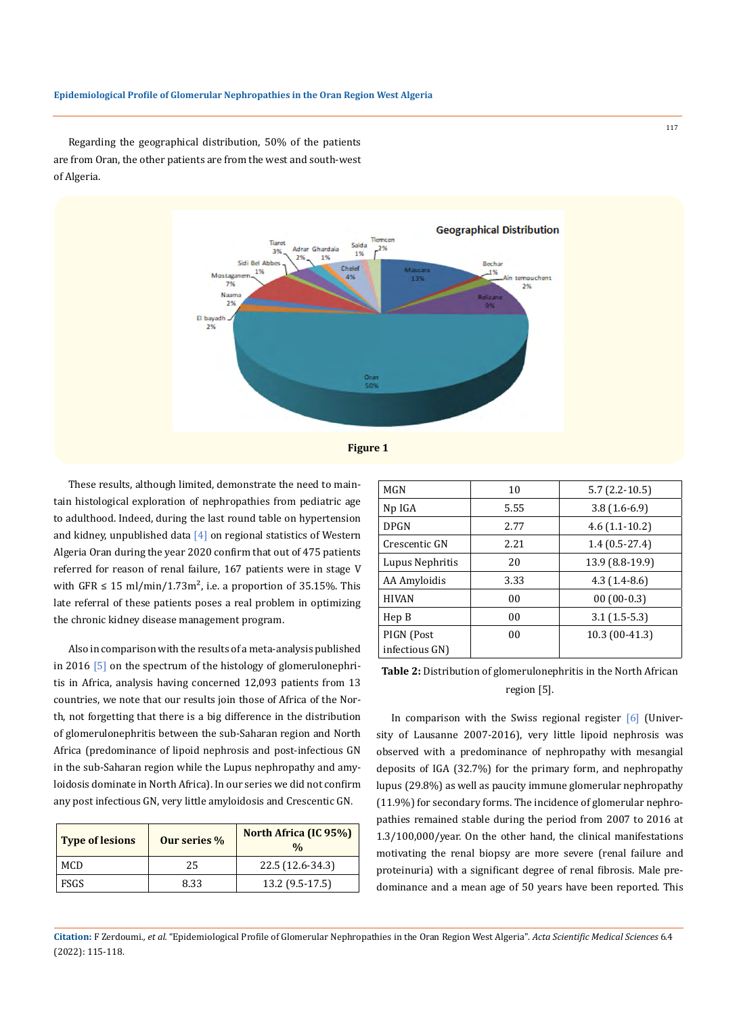#### **Epidemiological Profile of Glomerular Nephropathies in the Oran Region West Algeria**

Regarding the geographical distribution, 50% of the patients are from Oran, the other patients are from the west and south-west of Algeria.



These results, although limited, demonstrate the need to maintain histological exploration of nephropathies from pediatric age to adulthood. Indeed, during the last round table on hypertension and kidney, unpublished data  $[4]$  on regional statistics of Western Algeria Oran during the year 2020 confirm that out of 475 patients referred for reason of renal failure, 167 patients were in stage V with GFR  $\leq 15$  ml/min/1.73m<sup>2</sup>, i.e. a proportion of 35.15%. This late referral of these patients poses a real problem in optimizing the chronic kidney disease management program.

Also in comparison with the results of a meta-analysis published in 2016 [5] on the spectrum of the histology of glomerulonephritis in Africa, analysis having concerned 12,093 patients from 13 countries, we note that our results join those of Africa of the North, not forgetting that there is a big difference in the distribution of glomerulonephritis between the sub-Saharan region and North Africa (predominance of lipoid nephrosis and post-infectious GN in the sub-Saharan region while the Lupus nephropathy and amyloidosis dominate in North Africa). In our series we did not confirm any post infectious GN, very little amyloidosis and Crescentic GN.

| <b>Type of lesions</b> | Our series % | North Africa (IC 95%)<br>$\frac{0}{0}$ |
|------------------------|--------------|----------------------------------------|
| <b>MCD</b>             | 25           | 22.5 (12.6-34.3)                       |
| <b>FSGS</b>            | 8.33         | 13.2 (9.5-17.5)                        |

| MGN                          | 10             | $5.7(2.2-10.5)$ |  |  |
|------------------------------|----------------|-----------------|--|--|
| Np IGA                       | 5.55           | $3.8(1.6-6.9)$  |  |  |
| <b>DPGN</b>                  | 2.77           | $4.6(1.1-10.2)$ |  |  |
| Crescentic GN                | 2.21           | $1.4(0.5-27.4)$ |  |  |
| Lupus Nephritis              | 20             | 13.9 (8.8-19.9) |  |  |
| AA Amyloidis                 | 3.33           | $4.3(1.4-8.6)$  |  |  |
| <b>HIVAN</b>                 | 0 <sub>0</sub> | $00(00-0.3)$    |  |  |
| Hep B                        | 0 <sub>0</sub> | $3.1(1.5-5.3)$  |  |  |
| PIGN (Post<br>infectious GN) | 00             | 10.3 (00-41.3)  |  |  |
|                              |                |                 |  |  |

**Table 2:** Distribution of glomerulonephritis in the North African region [5].

In comparison with the Swiss regional register  $[6]$  (University of Lausanne 2007-2016), very little lipoid nephrosis was observed with a predominance of nephropathy with mesangial deposits of IGA (32.7%) for the primary form, and nephropathy lupus (29.8%) as well as paucity immune glomerular nephropathy (11.9%) for secondary forms. The incidence of glomerular nephropathies remained stable during the period from 2007 to 2016 at 1.3/100,000/year. On the other hand, the clinical manifestations motivating the renal biopsy are more severe (renal failure and proteinuria) with a significant degree of renal fibrosis. Male predominance and a mean age of 50 years have been reported. This

117

**Citation:** F Zerdoumi*., et al.* "Epidemiological Profile of Glomerular Nephropathies in the Oran Region West Algeria". *Acta Scientific Medical Sciences* 6.4 (2022): 115-118.